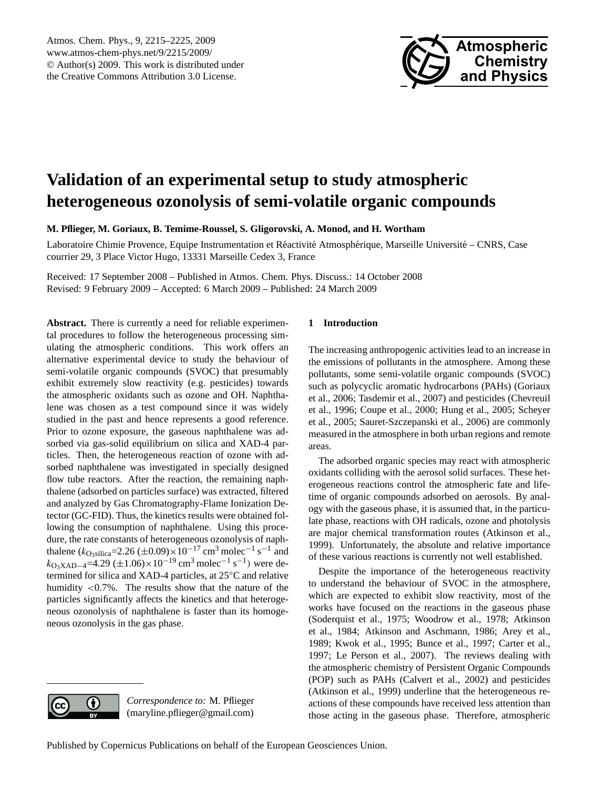

# <span id="page-0-0"></span>**Validation of an experimental setup to study atmospheric heterogeneous ozonolysis of semi-volatile organic compounds**

**M. Pflieger, M. Goriaux, B. Temime-Roussel, S. Gligorovski, A. Monod, and H. Wortham**

Laboratoire Chimie Provence, Equipe Instrumentation et Réactivité Atmosphérique, Marseille Université – CNRS, Case courrier 29, 3 Place Victor Hugo, 13331 Marseille Cedex 3, France

Received: 17 September 2008 – Published in Atmos. Chem. Phys. Discuss.: 14 October 2008 Revised: 9 February 2009 – Accepted: 6 March 2009 – Published: 24 March 2009

**Abstract.** There is currently a need for reliable experimental procedures to follow the heterogeneous processing simulating the atmospheric conditions. This work offers an alternative experimental device to study the behaviour of semi-volatile organic compounds (SVOC) that presumably exhibit extremely slow reactivity (e.g. pesticides) towards the atmospheric oxidants such as ozone and OH. Naphthalene was chosen as a test compound since it was widely studied in the past and hence represents a good reference. Prior to ozone exposure, the gaseous naphthalene was adsorbed via gas-solid equilibrium on silica and XAD-4 particles. Then, the heterogeneous reaction of ozone with adsorbed naphthalene was investigated in specially designed flow tube reactors. After the reaction, the remaining naphthalene (adsorbed on particles surface) was extracted, filtered and analyzed by Gas Chromatography-Flame Ionization Detector (GC-FID). Thus, the kinetics results were obtained following the consumption of naphthalene. Using this procedure, the rate constants of heterogeneous ozonolysis of naphthalene ( $k_{\text{O}_3\text{silica}}$ =2.26 ( $\pm$ 0.09)×10<sup>-17</sup> cm<sup>3</sup> molec<sup>-1</sup> s<sup>-1</sup> and  $k_{\text{O}_3 \text{XAD}-4}$ =4.29 (±1.06)×10<sup>-19</sup> cm<sup>3</sup> molec<sup>-1</sup> s<sup>-1</sup>) were determined for silica and XAD-4 particles, at 25◦C and relative humidity <0.7%. The results show that the nature of the particles significantly affects the kinetics and that heterogeneous ozonolysis of naphthalene is faster than its homogeneous ozonolysis in the gas phase.

# **1 Introduction**

The increasing anthropogenic activities lead to an increase in the emissions of pollutants in the atmosphere. Among these pollutants, some semi-volatile organic compounds (SVOC) such as polycyclic aromatic hydrocarbons (PAHs) (Goriaux et al., 2006; Tasdemir et al., 2007) and pesticides (Chevreuil et al., 1996; Coupe et al., 2000; Hung et al., 2005; Scheyer et al., 2005; Sauret-Szczepanski et al., 2006) are commonly measured in the atmosphere in both urban regions and remote areas.

The adsorbed organic species may react with atmospheric oxidants colliding with the aerosol solid surfaces. These heterogeneous reactions control the atmospheric fate and lifetime of organic compounds adsorbed on aerosols. By analogy with the gaseous phase, it is assumed that, in the particulate phase, reactions with OH radicals, ozone and photolysis are major chemical transformation routes (Atkinson et al., 1999). Unfortunately, the absolute and relative importance of these various reactions is currently not well established.

Despite the importance of the heterogeneous reactivity to understand the behaviour of SVOC in the atmosphere, which are expected to exhibit slow reactivity, most of the works have focused on the reactions in the gaseous phase (Soderquist et al., 1975; Woodrow et al., 1978; Atkinson et al., 1984; Atkinson and Aschmann, 1986; Arey et al., 1989; Kwok et al., 1995; Bunce et al., 1997; Carter et al., 1997; Le Person et al., 2007). The reviews dealing with the atmospheric chemistry of Persistent Organic Compounds (POP) such as PAHs (Calvert et al., 2002) and pesticides (Atkinson et al., 1999) underline that the heterogeneous reactions of these compounds have received less attention than those acting in the gaseous phase. Therefore, atmospheric

*Correspondence to:* M. Pflieger (maryline.pflieger@gmail.com)

O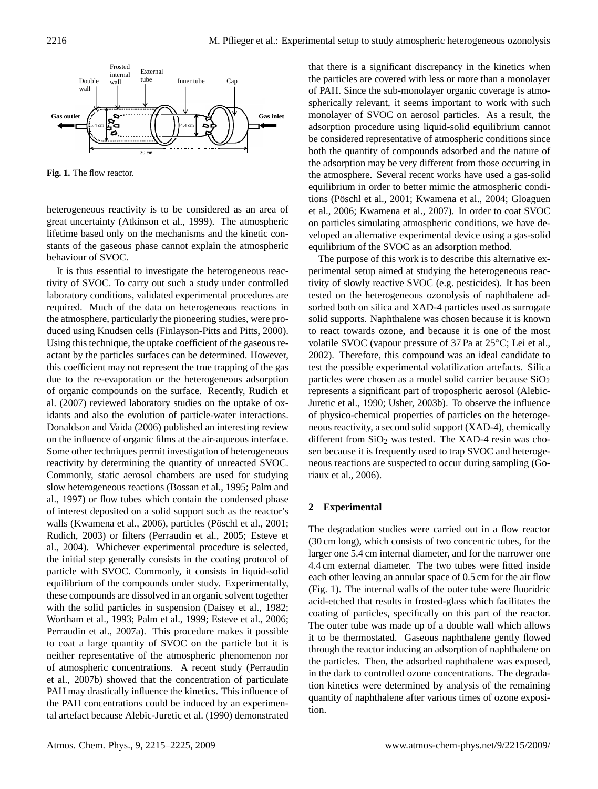

**Fig. 1.** The flow reactor.

heterogeneous reactivity is to be considered as an area of great uncertainty (Atkinson et al., 1999). The atmospheric lifetime based only on the mechanisms and the kinetic constants of the gaseous phase cannot explain the atmospheric behaviour of SVOC.

It is thus essential to investigate the heterogeneous reactivity of SVOC. To carry out such a study under controlled laboratory conditions, validated experimental procedures are required. Much of the data on heterogeneous reactions in the atmosphere, particularly the pioneering studies, were produced using Knudsen cells (Finlayson-Pitts and Pitts, 2000). Using this technique, the uptake coefficient of the gaseous reactant by the particles surfaces can be determined. However, this coefficient may not represent the true trapping of the gas due to the re-evaporation or the heterogeneous adsorption of organic compounds on the surface. Recently, Rudich et al. (2007) reviewed laboratory studies on the uptake of oxidants and also the evolution of particle-water interactions. Donaldson and Vaida (2006) published an interesting review on the influence of organic films at the air-aqueous interface. Some other techniques permit investigation of heterogeneous reactivity by determining the quantity of unreacted SVOC. Commonly, static aerosol chambers are used for studying slow heterogeneous reactions (Bossan et al., 1995; Palm and al., 1997) or flow tubes which contain the condensed phase of interest deposited on a solid support such as the reactor's walls (Kwamena et al., 2006), particles (Pöschl et al., 2001; Rudich, 2003) or filters (Perraudin et al., 2005; Esteve et al., 2004). Whichever experimental procedure is selected, the initial step generally consists in the coating protocol of particle with SVOC. Commonly, it consists in liquid-solid equilibrium of the compounds under study. Experimentally, these compounds are dissolved in an organic solvent together with the solid particles in suspension (Daisey et al., 1982; Wortham et al., 1993; Palm et al., 1999; Esteve et al., 2006; Perraudin et al., 2007a). This procedure makes it possible to coat a large quantity of SVOC on the particle but it is neither representative of the atmospheric phenomenon nor of atmospheric concentrations. A recent study (Perraudin et al., 2007b) showed that the concentration of particulate PAH may drastically influence the kinetics. This influence of the PAH concentrations could be induced by an experimental artefact because Alebic-Juretic et al. (1990) demonstrated that there is a significant discrepancy in the kinetics when the particles are covered with less or more than a monolayer of PAH. Since the sub-monolayer organic coverage is atmospherically relevant, it seems important to work with such monolayer of SVOC on aerosol particles. As a result, the adsorption procedure using liquid-solid equilibrium cannot be considered representative of atmospheric conditions since both the quantity of compounds adsorbed and the nature of the adsorption may be very different from those occurring in the atmosphere. Several recent works have used a gas-solid equilibrium in order to better mimic the atmospheric conditions (Pöschl et al., 2001; Kwamena et al., 2004; Gloaguen et al., 2006; Kwamena et al., 2007). In order to coat SVOC on particles simulating atmospheric conditions, we have developed an alternative experimental device using a gas-solid equilibrium of the SVOC as an adsorption method.

The purpose of this work is to describe this alternative experimental setup aimed at studying the heterogeneous reactivity of slowly reactive SVOC (e.g. pesticides). It has been tested on the heterogeneous ozonolysis of naphthalene adsorbed both on silica and XAD-4 particles used as surrogate solid supports. Naphthalene was chosen because it is known to react towards ozone, and because it is one of the most volatile SVOC (vapour pressure of 37 Pa at 25◦C; Lei et al., 2002). Therefore, this compound was an ideal candidate to test the possible experimental volatilization artefacts. Silica particles were chosen as a model solid carrier because  $SiO<sub>2</sub>$ represents a significant part of tropospheric aerosol (Alebic-Juretic et al., 1990; Usher, 2003b). To observe the influence of physico-chemical properties of particles on the heterogeneous reactivity, a second solid support (XAD-4), chemically different from  $SiO<sub>2</sub>$  was tested. The XAD-4 resin was chosen because it is frequently used to trap SVOC and heterogeneous reactions are suspected to occur during sampling (Goriaux et al., 2006).

#### **2 Experimental**

The degradation studies were carried out in a flow reactor (30 cm long), which consists of two concentric tubes, for the larger one 5.4 cm internal diameter, and for the narrower one 4.4 cm external diameter. The two tubes were fitted inside each other leaving an annular space of 0.5 cm for the air flow (Fig. 1). The internal walls of the outer tube were fluoridric acid-etched that results in frosted-glass which facilitates the coating of particles, specifically on this part of the reactor. The outer tube was made up of a double wall which allows it to be thermostated. Gaseous naphthalene gently flowed through the reactor inducing an adsorption of naphthalene on the particles. Then, the adsorbed naphthalene was exposed, in the dark to controlled ozone concentrations. The degradation kinetics were determined by analysis of the remaining quantity of naphthalene after various times of ozone exposition.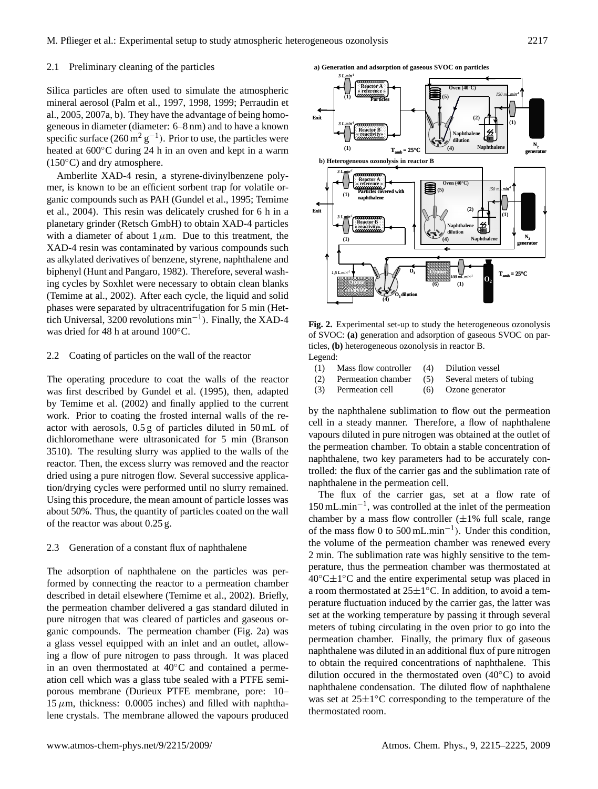#### 2.1 Preliminary cleaning of the particles

Silica particles are often used to simulate the atmospheric mineral aerosol (Palm et al., 1997, 1998, 1999; Perraudin et al., 2005, 2007a, b). They have the advantage of being homogeneous in diameter (diameter: 6–8 nm) and to have a known specific surface  $(260 \,\mathrm{m}^2 \,\mathrm{g}^{-1})$ . Prior to use, the particles were heated at 600<sup>°</sup>C during 24 h in an oven and kept in a warm  $(150\degree C)$  and dry atmosphere.

Amberlite XAD-4 resin, a styrene-divinylbenzene polymer, is known to be an efficient sorbent trap for volatile organic compounds such as PAH (Gundel et al., 1995; Temime et al., 2004). This resin was delicately crushed for 6 h in a planetary grinder (Retsch GmbH) to obtain XAD-4 particles with a diameter of about  $1 \mu$ m. Due to this treatment, the XAD-4 resin was contaminated by various compounds such as alkylated derivatives of benzene, styrene, naphthalene and biphenyl (Hunt and Pangaro, 1982). Therefore, several washing cycles by Soxhlet were necessary to obtain clean blanks (Temime at al., 2002). After each cycle, the liquid and solid phases were separated by ultracentrifugation for 5 min (Hettich Universal, 3200 revolutions min−<sup>1</sup> ). Finally, the XAD-4 was dried for 48 h at around 100◦C.

## 2.2 Coating of particles on the wall of the reactor

The operating procedure to coat the walls of the reactor was first described by Gundel et al. (1995), then, adapted by Temime et al. (2002) and finally applied to the current work. Prior to coating the frosted internal walls of the reactor with aerosols, 0.5 g of particles diluted in 50 mL of dichloromethane were ultrasonicated for 5 min (Branson 3510). The resulting slurry was applied to the walls of the reactor. Then, the excess slurry was removed and the reactor dried using a pure nitrogen flow. Several successive application/drying cycles were performed until no slurry remained. Using this procedure, the mean amount of particle losses was about 50%. Thus, the quantity of particles coated on the wall of the reactor was about 0.25 g.

#### 2.3 Generation of a constant flux of naphthalene

The adsorption of naphthalene on the particles was performed by connecting the reactor to a permeation chamber described in detail elsewhere (Temime et al., 2002). Briefly, the permeation chamber delivered a gas standard diluted in pure nitrogen that was cleared of particles and gaseous organic compounds. The permeation chamber (Fig. 2a) was a glass vessel equipped with an inlet and an outlet, allowing a flow of pure nitrogen to pass through. It was placed in an oven thermostated at 40◦C and contained a permeation cell which was a glass tube sealed with a PTFE semiporous membrane (Durieux PTFE membrane, pore: 10–  $15 \mu$ m, thickness: 0.0005 inches) and filled with naphthalene crystals. The membrane allowed the vapours produced

**a) Generation and adsorption of gaseous SVOC on particles**  *3 L.min-1* **a) Generation and adsorption of gaseous SVOC on particles** 



of SVOC: (a) generation and adsorption of gaseous SVOC on particles, **(b)** heterogeneous ozonolysis in reactor B. Fig. 2. Experimental set-up to study the heterogeneous ozonolysis  $Legend:$ 

**O<sup>3</sup> Ozoner**

**(6)**

**O3 dilution**

**(4)**

*1,6 L.min-1*

**Ozone analyzer**

**analyzer**

*100 mL.min-1* **O<sup>2</sup>**

| LUgunu. |                                              |                                                     |
|---------|----------------------------------------------|-----------------------------------------------------|
|         | (1) Mass flow controller (4) Dilution vessel |                                                     |
|         |                                              | (2) Permeation chamber (5) Several meters of tubing |
|         | (3) Permeation cell                          | (6) Ozone generator                                 |

by the naphthalene sublimation to flow out the permeation cell in a steady manner. Therefore, a flow of naphthalene vapours diluted in pure nitrogen was obtained at the outlet of the permeation chamber. To obtain a stable concentration of naphthalene, two key parameters had to be accurately controlled: the flux of the carrier gas and the sublimation rate of naphthalene in the permeation cell.

The flux of the carrier gas, set at a flow rate of 150 mL.min−<sup>1</sup> , was controlled at the inlet of the permeation chamber by a mass flow controller  $(\pm 1\%$  full scale, range of the mass flow 0 to 500 mL.min−<sup>1</sup> ). Under this condition, the volume of the permeation chamber was renewed every 2 min. The sublimation rate was highly sensitive to the temperature, thus the permeation chamber was thermostated at 40◦C±1 ◦C and the entire experimental setup was placed in a room thermostated at  $25 \pm 1^{\circ}$ C. In addition, to avoid a temperature fluctuation induced by the carrier gas, the latter was set at the working temperature by passing it through several meters of tubing circulating in the oven prior to go into the permeation chamber. Finally, the primary flux of gaseous naphthalene was diluted in an additional flux of pure nitrogen to obtain the required concentrations of naphthalene. This dilution occured in the thermostated oven (40◦C) to avoid naphthalene condensation. The diluted flow of naphthalene was set at  $25\pm1^{\circ}$ C corresponding to the temperature of the thermostated room.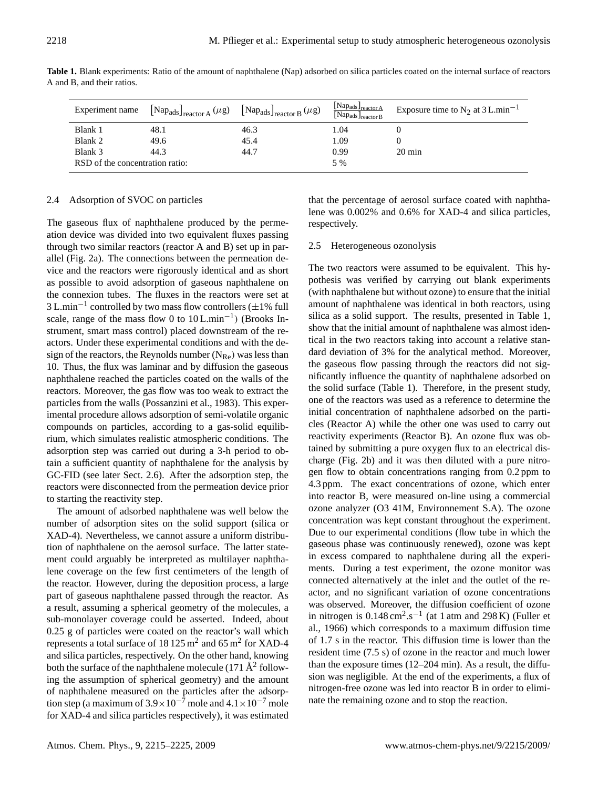Blank 3 44.3 44.7 0.99 20 min

RSD of the concentration ratio: 5 %

**Table 1.** Blank experiments: Ratio of the amount of naphthalene (Nap) adsorbed on silica particles coated on the internal surface of reactors A and B, and their ratios.

# 2.4 Adsorption of SVOC on particles

The gaseous flux of naphthalene produced by the permeation device was divided into two equivalent fluxes passing through two similar reactors (reactor A and B) set up in parallel (Fig. 2a). The connections between the permeation device and the reactors were rigorously identical and as short as possible to avoid adsorption of gaseous naphthalene on the connexion tubes. The fluxes in the reactors were set at  $3$  L.min<sup>-1</sup> controlled by two mass flow controllers ( $\pm 1\%$  full scale, range of the mass flow 0 to  $10$  L.min<sup>-1</sup>) (Brooks Instrument, smart mass control) placed downstream of the reactors. Under these experimental conditions and with the design of the reactors, the Reynolds number  $(N_{\text{Re}})$  was less than 10. Thus, the flux was laminar and by diffusion the gaseous naphthalene reached the particles coated on the walls of the reactors. Moreover, the gas flow was too weak to extract the particles from the walls (Possanzini et al., 1983). This experimental procedure allows adsorption of semi-volatile organic compounds on particles, according to a gas-solid equilibrium, which simulates realistic atmospheric conditions. The adsorption step was carried out during a 3-h period to obtain a sufficient quantity of naphthalene for the analysis by GC-FID (see later Sect. 2.6). After the adsorption step, the reactors were disconnected from the permeation device prior to starting the reactivity step.

The amount of adsorbed naphthalene was well below the number of adsorption sites on the solid support (silica or XAD-4). Nevertheless, we cannot assure a uniform distribution of naphthalene on the aerosol surface. The latter statement could arguably be interpreted as multilayer naphthalene coverage on the few first centimeters of the length of the reactor. However, during the deposition process, a large part of gaseous naphthalene passed through the reactor. As a result, assuming a spherical geometry of the molecules, a sub-monolayer coverage could be asserted. Indeed, about 0.25 g of particles were coated on the reactor's wall which represents a total surface of 18 125  $m^2$  and 65  $m^2$  for XAD-4 and silica particles, respectively. On the other hand, knowing both the surface of the naphthalene molecule (171  $\AA$ <sup>2</sup> following the assumption of spherical geometry) and the amount of naphthalene measured on the particles after the adsorption step (a maximum of  $3.9 \times 10^{-7}$  mole and  $4.1 \times 10^{-7}$  mole for XAD-4 and silica particles respectively), it was estimated that the percentage of aerosol surface coated with naphthalene was 0.002% and 0.6% for XAD-4 and silica particles, respectively.

## 2.5 Heterogeneous ozonolysis

The two reactors were assumed to be equivalent. This hypothesis was verified by carrying out blank experiments (with naphthalene but without ozone) to ensure that the initial amount of naphthalene was identical in both reactors, using silica as a solid support. The results, presented in Table 1, show that the initial amount of naphthalene was almost identical in the two reactors taking into account a relative standard deviation of 3% for the analytical method. Moreover, the gaseous flow passing through the reactors did not significantly influence the quantity of naphthalene adsorbed on the solid surface (Table 1). Therefore, in the present study, one of the reactors was used as a reference to determine the initial concentration of naphthalene adsorbed on the particles (Reactor A) while the other one was used to carry out reactivity experiments (Reactor B). An ozone flux was obtained by submitting a pure oxygen flux to an electrical discharge (Fig. 2b) and it was then diluted with a pure nitrogen flow to obtain concentrations ranging from 0.2 ppm to 4.3 ppm. The exact concentrations of ozone, which enter into reactor B, were measured on-line using a commercial ozone analyzer (O3 41M, Environnement S.A). The ozone concentration was kept constant throughout the experiment. Due to our experimental conditions (flow tube in which the gaseous phase was continuously renewed), ozone was kept in excess compared to naphthalene during all the experiments. During a test experiment, the ozone monitor was connected alternatively at the inlet and the outlet of the reactor, and no significant variation of ozone concentrations was observed. Moreover, the diffusion coefficient of ozone in nitrogen is  $0.148 \text{ cm}^2 \text{.s}^{-1}$  (at 1 atm and 298 K) (Fuller et al., 1966) which corresponds to a maximum diffusion time of 1.7 s in the reactor. This diffusion time is lower than the resident time (7.5 s) of ozone in the reactor and much lower than the exposure times (12–204 min). As a result, the diffusion was negligible. At the end of the experiments, a flux of nitrogen-free ozone was led into reactor B in order to eliminate the remaining ozone and to stop the reaction.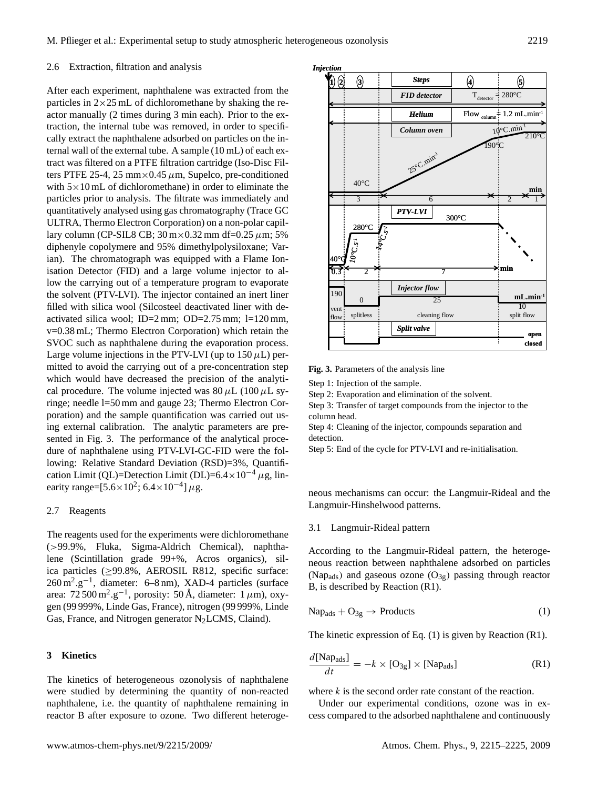#### 2.6 Extraction, filtration and analysis

After each experiment, naphthalene was extracted from the particles in  $2\times25$  mL of dichloromethane by shaking the reactor manually (2 times during 3 min each). Prior to the extraction, the internal tube was removed, in order to specifically extract the naphthalene adsorbed on particles on the internal wall of the external tube. A sample (10 mL) of each extract was filtered on a PTFE filtration cartridge (Iso-Disc Filters PTFE 25-4, 25 mm $\times$ 0.45  $\mu$ m, Supelco, pre-conditioned with  $5 \times 10$  mL of dichloromethane) in order to eliminate the particles prior to analysis. The filtrate was immediately and quantitatively analysed using gas chromatography (Trace GC ULTRA, Thermo Electron Corporation) on a non-polar capillary column (CP-SIL8 CB;  $30 \text{ m} \times 0.32 \text{ mm}$  df=0.25  $\mu$ m; 5% diphenyle copolymere and 95% dimethylpolysiloxane; Varian). The chromatograph was equipped with a Flame Ionisation Detector (FID) and a large volume injector to allow the carrying out of a temperature program to evaporate the solvent (PTV-LVI). The injector contained an inert liner filled with silica wool (Silcosteel deactivated liner with deactivated silica wool; ID=2 mm; OD=2.75 mm; l=120 mm, v=0.38 mL; Thermo Electron Corporation) which retain the SVOC such as naphthalene during the evaporation process. Large volume injections in the PTV-LVI (up to  $150 \mu L$ ) permitted to avoid the carrying out of a pre-concentration step which would have decreased the precision of the analytical procedure. The volume injected was  $80 \mu L (100 \mu L s$ ringe; needle l=50 mm and gauge 23; Thermo Electron Corporation) and the sample quantification was carried out using external calibration. The analytic parameters are presented in Fig. 3. The performance of the analytical procedure of naphthalene using PTV-LVI-GC-FID were the following: Relative Standard Deviation (RSD)=3%, Quantification Limit (QL)=Detection Limit (DL)=6.4×10<sup>-4</sup>  $\mu$ g, linearity range= $[5.6 \times 10^2; 6.4 \times 10^{-4}] \mu$ g.

#### 2.7 Reagents

The reagents used for the experiments were dichloromethane (>99.9%, Fluka, Sigma-Aldrich Chemical), naphthalene (Scintillation grade 99+%, Acros organics), silica particles (≥99.8%, AEROSIL R812, specific surface: 260 m<sup>2</sup>.g<sup>-1</sup>, diameter: 6–8 nm), XAD-4 particles (surface area: 72 500 m<sup>2</sup>.g<sup>-1</sup>, porosity: 50 Å, diameter: 1  $\mu$ m), oxygen (99 999%, Linde Gas, France), nitrogen (99 999%, Linde Gas, France, and Nitrogen generator N<sub>2</sub>LCMS, Claind).

## **3 Kinetics**

The kinetics of heterogeneous ozonolysis of naphthalene were studied by determining the quantity of non-reacted naphthalene, i.e. the quantity of naphthalene remaining in reactor B after exposure to ozone. Two different heteroge-



Fig. 3. Parameters of the analysis line

**Step 2**: Evaporation and elimination of the solvent Step 1: Injection of the sample.

Step 2: Evaporation and elimination of the solvent.

Step 3: Transfer of target compounds from the injector to the column head.

Step 4: Cleaning of the injector, compounds separation and detection.

Step 5: End of the cycle for PTV-LVI and re-initialisation.

neous mechanisms can occur: the Langmuir-Rideal and the Langmuir-Hinshelwood patterns.

#### 3.1 Langmuir-Rideal pattern

According to the Langmuir-Rideal pattern, the heterogeneous reaction between naphthalene adsorbed on particles (Nap<sub>ads</sub>) and gaseous ozone  $(O_{3g})$  passing through reactor B, is described by Reaction (R1).

$$
Nap_{ads} + O_{3g} \rightarrow Products
$$
 (1)

The kinetic expression of Eq. (1) is given by Reaction (R1).

$$
\frac{d[\text{Nap}_{\text{ads}}]}{dt} = -k \times [\text{O}_{3g}] \times [\text{Nap}_{\text{ads}}]
$$
 (R1)

where  $k$  is the second order rate constant of the reaction.

Under our experimental conditions, ozone was in excess compared to the adsorbed naphthalene and continuously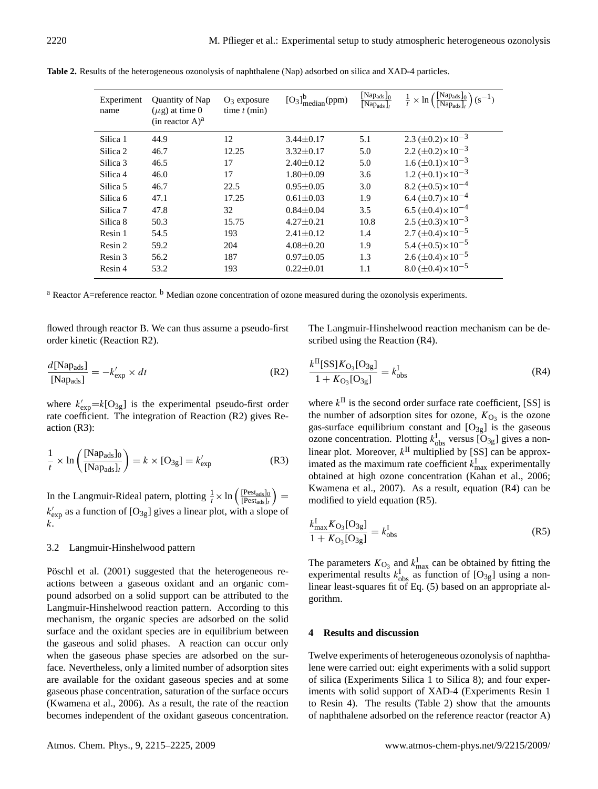| Experiment<br>name | Quantity of Nap<br>$(\mu$ g) at time 0<br>$(in$ reactor $A)^a$ | $O_3$ exposure<br>time $t$ (min) | $[O_3]_{\text{median}}^b(\text{ppm})$ | $[Nap_{ads}]_0$<br>$\lceil \text{Nap}_{\text{ads}} \rceil_t$ | $\left(\frac{[\text{Nap}_{\text{ads}}]_0}{[\text{Nap}_{\text{ads}}]_t}\right)$ (s <sup>-1</sup> )<br>$rac{1}{t} \times \ln$ |
|--------------------|----------------------------------------------------------------|----------------------------------|---------------------------------------|--------------------------------------------------------------|-----------------------------------------------------------------------------------------------------------------------------|
| Silica 1           | 44.9                                                           | 12                               | $3.44 \pm 0.17$                       | 5.1                                                          | $2.3 \ (\pm 0.2) \times 10^{-3}$                                                                                            |
| Silica 2           | 46.7                                                           | 12.25                            | $3.32 \pm 0.17$                       | 5.0                                                          | $2.2 \ (\pm 0.2) \times 10^{-3}$                                                                                            |
| Silica 3           | 46.5                                                           | 17                               | $2.40 \pm 0.12$                       | 5.0                                                          | $1.6 \ (\pm 0.1) \times 10^{-3}$                                                                                            |
| Silica 4           | 46.0                                                           | 17                               | $1.80 \pm 0.09$                       | 3.6                                                          | $1.2 \ (\pm 0.1) \times 10^{-3}$                                                                                            |
| Silica 5           | 46.7                                                           | 22.5                             | $0.95 \pm 0.05$                       | 3.0                                                          | 8.2 $(\pm 0.5) \times 10^{-4}$                                                                                              |
| Silica 6           | 47.1                                                           | 17.25                            | $0.61 \pm 0.03$                       | 1.9                                                          | $6.4 \ (\pm 0.7) \times 10^{-4}$                                                                                            |
| Silica 7           | 47.8                                                           | 32                               | $0.84 \pm 0.04$                       | 3.5                                                          | $6.5 \ (\pm 0.4) \times 10^{-4}$                                                                                            |
| Silica 8           | 50.3                                                           | 15.75                            | $4.27 \pm 0.21$                       | 10.8                                                         | $2.5 \ (\pm 0.3) \times 10^{-3}$                                                                                            |
| Resin 1            | 54.5                                                           | 193                              | $2.41 \pm 0.12$                       | 1.4                                                          | $2.7 (\pm 0.4) \times 10^{-5}$                                                                                              |
| Resin 2            | 59.2                                                           | 204                              | $4.08 \pm 0.20$                       | 1.9                                                          | 5.4 $(\pm 0.5) \times 10^{-5}$                                                                                              |
| Resin 3            | 56.2                                                           | 187                              | $0.97 \pm 0.05$                       | 1.3                                                          | $2.6 (\pm 0.4) \times 10^{-5}$                                                                                              |
| Resin 4            | 53.2                                                           | 193                              | $0.22 \pm 0.01$                       | 1.1                                                          | $8.0 \ (\pm 0.4) \times 10^{-5}$                                                                                            |

**Table 2.** Results of the heterogeneous ozonolysis of naphthalene (Nap) adsorbed on silica and XAD-4 particles.

 $a$  Reactor A=reference reactor.  $b$  Median ozone concentration of ozone measured during the ozonolysis experiments.

flowed through reactor B. We can thus assume a pseudo-first order kinetic (Reaction R2).

$$
\frac{d[\text{Nap}_{\text{ads}}]}{[\text{Nap}_{\text{ads}}]} = -k'_{\text{exp}} \times dt
$$
 (R2)

where  $k'_{exp} = k[O_{3g}]$  is the experimental pseudo-first order rate coefficient. The integration of Reaction (R2) gives Reaction (R3):

$$
\frac{1}{t} \times \ln\left(\frac{[\text{Nap}_{\text{ads}}]_0}{[\text{Nap}_{\text{ads}}]_t}\right) = k \times [\text{O}_{3g}] = k'_{\text{exp}}
$$
(R3)

In the Langmuir-Rideal patern, plotting  $\frac{1}{t} \times \ln \left( \frac{\text{[Pest_{ads}]}_0}{\text{[Pest_{ads}]}_t} \right)$  $\frac{\rm [Pest_{ads}]_{0}}{\rm [Pest_{ads}]_{t}}$  =  $k'_{\text{exp}}$  as a function of [O<sub>3g</sub>] gives a linear plot, with a slope of k.

## 3.2 Langmuir-Hinshelwood pattern

Pöschl et al. (2001) suggested that the heterogeneous reactions between a gaseous oxidant and an organic compound adsorbed on a solid support can be attributed to the Langmuir-Hinshelwood reaction pattern. According to this mechanism, the organic species are adsorbed on the solid surface and the oxidant species are in equilibrium between the gaseous and solid phases. A reaction can occur only when the gaseous phase species are adsorbed on the surface. Nevertheless, only a limited number of adsorption sites are available for the oxidant gaseous species and at some gaseous phase concentration, saturation of the surface occurs (Kwamena et al., 2006). As a result, the rate of the reaction becomes independent of the oxidant gaseous concentration. The Langmuir-Hinshelwood reaction mechanism can be described using the Reaction (R4).

$$
\frac{k^{\text{II}}[SS]K_{\text{O}_3}[\text{O}_{3g}]}{1 + K_{\text{O}_3}[\text{O}_{3g}]} = k^{\text{I}}_{\text{obs}}
$$
 (R4)

where  $k<sup>H</sup>$  is the second order surface rate coefficient, [SS] is the number of adsorption sites for ozone,  $K_{\text{O}_3}$  is the ozone gas-surface equilibrium constant and  $[O_{3g}]$  is the gaseous ozone concentration. Plotting  $k_{obs}^I$  versus  $[O_{3g}]$  gives a nonlinear plot. Moreover,  $k^{\text{II}}$  multiplied by [SS] can be approximated as the maximum rate coefficient  $k_{\text{max}}^{\text{I}}$  experimentally obtained at high ozone concentration (Kahan et al., 2006; Kwamena et al., 2007). As a result, equation (R4) can be modified to yield equation (R5).

$$
\frac{k_{\text{max}}^{\text{I}} K_{\text{O}_3} [\text{O}_{3g}]}{1 + K_{\text{O}_3} [\text{O}_{3g}]} = k_{\text{obs}}^{\text{I}} \tag{R5}
$$

The parameters  $K_{\text{O}_3}$  and  $k_{\text{max}}^{\text{I}}$  can be obtained by fitting the experimental results  $k_{obs}^{\text{I}}$  as function of  $[O_{3g}]$  using a nonlinear least-squares fit of Eq. (5) based on an appropriate algorithm.

## **4 Results and discussion**

Twelve experiments of heterogeneous ozonolysis of naphthalene were carried out: eight experiments with a solid support of silica (Experiments Silica 1 to Silica 8); and four experiments with solid support of XAD-4 (Experiments Resin 1 to Resin 4). The results (Table 2) show that the amounts of naphthalene adsorbed on the reference reactor (reactor A)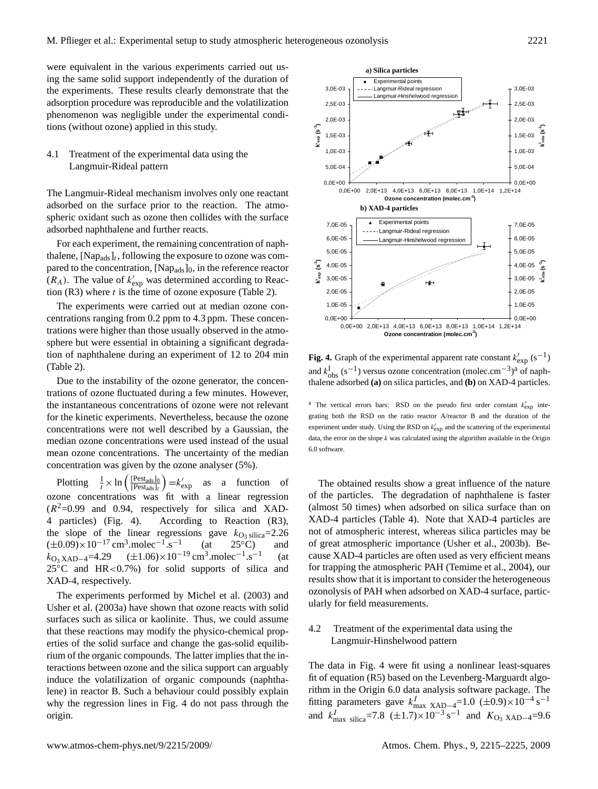were equivalent in the various experiments carried out using the same solid support independently of the duration of the experiments. These results clearly demonstrate that the adsorption procedure was reproducible and the volatilization phenomenon was negligible under the experimental conditions (without ozone) applied in this study.

# 4.1 Treatment of the experimental data using the Langmuir-Rideal pattern

The Langmuir-Rideal mechanism involves only one reactant adsorbed on the surface prior to the reaction. The atmospheric oxidant such as ozone then collides with the surface adsorbed naphthalene and further reacts.

For each experiment, the remaining concentration of naphthalene,  $[Nap_{ads}]_t$ , following the exposure to ozone was compared to the concentration, [Nap<sub>ads</sub>]<sub>0</sub>, in the reference reactor  $(R_A)$ . The value of  $k'_{\exp}$  was determined according to Reaction  $(R3)$  where t is the time of ozone exposure (Table 2).

The experiments were carried out at median ozone concentrations ranging from 0.2 ppm to 4.3 ppm. These concentrations were higher than those usually observed in the atmosphere but were essential in obtaining a significant degradation of naphthalene during an experiment of 12 to 204 min (Table 2).

Due to the instability of the ozone generator, the concentrations of ozone fluctuated during a few minutes. However, the instantaneous concentrations of ozone were not relevant for the kinetic experiments. Nevertheless, because the ozone concentrations were not well described by a Gaussian, the median ozone concentrations were used instead of the usual mean ozone concentrations. The uncertainty of the median concentration was given by the ozone analyser (5%).

Plotting  $\frac{1}{t} \times \ln \left( \frac{[\text{Pest}_{\text{ads}}]_0}{[\text{Pest}_{\text{ads}}]_t} \right)$  $\frac{[Pest_{ads}]_0}{[Pest_{ads}]_t}$  =  $k'_{exp}$  as a function of ozone concentrations was fit with a linear regression  $(R^2=0.99$  and 0.94, respectively for silica and XAD-4 particles) (Fig. 4). According to Reaction (R3), the slope of the linear regressions gave  $k_{\text{O}_3 \text{ silica}}=2.26$ <br>  $(\pm 0.09) \times 10^{-17} \text{ cm}^3 \text{.} \text{molecule}^{-1} \text{ s}^{-1}$  (at 25 °C) and  $(\pm 0.09) \times 10^{-17}$  cm<sup>3</sup>.molec<sup>-1</sup>.s<sup>-1</sup>  $25^{\circ}$ C)  $k_{\text{O}_3 \text{ XAD}-4}$ =4.29 (±1.06)×10<sup>-19</sup> cm<sup>3</sup>.molec<sup>-1</sup>.s<sup>-1</sup> (at  $25^{\circ}$ C and HR<0.7%) for solid supports of silica and XAD-4, respectively.

The experiments performed by Michel et al. (2003) and Usher et al. (2003a) have shown that ozone reacts with solid surfaces such as silica or kaolinite. Thus, we could assume that these reactions may modify the physico-chemical properties of the solid surface and change the gas-solid equilibrium of the organic compounds. The latter implies that the interactions between ozone and the silica support can arguably induce the volatilization of organic compounds (naphthalene) in reactor B. Such a behaviour could possibly explain why the regression lines in Fig. 4 do not pass through the origin.



**Fig. 4.** Graph of the experimental apparent rate constant  $k'_{\text{exp}}$  (s<sup>-1</sup>) and  $k_{\text{obs}}^{\text{I}}$  (s<sup>-1</sup>) versus ozone concentration (molec.cm<sup>-3</sup>)<sup>a</sup> of naphthalene adsorbed  $(a)$  on silica particles, and  $(b)$  on XAD-4 particles.

<sup>a</sup> The vertical errors bars: RSD on the pseudo first order constant  $k'_{exp}$  integrating both the RSD on the ratio reactor A/reactor B and the duration of the experiment under study. Using the RSD on  $k'_{exp}$  and the scattering of the experimental data, the error on the slope  $k$  was calculated using the algorithm available in the Origin 6.0 software.

The obtained results show a great influence of the nature of the particles. The degradation of naphthalene is faster (almost 50 times) when adsorbed on silica surface than on XAD-4 particles (Table 4). Note that XAD-4 particles are not of atmospheric interest, whereas silica particles may be of great atmospheric importance (Usher et al., 2003b). Because XAD-4 particles are often used as very efficient means for trapping the atmospheric PAH (Temime et al., 2004), our results show that it is important to consider the heterogeneous ozonolysis of PAH when adsorbed on XAD-4 surface, particularly for field measurements.

# 4.2 Treatment of the experimental data using the Langmuir-Hinshelwood pattern

The data in Fig. 4 were fit using a nonlinear least-squares fit of equation (R5) based on the Levenberg-Marguardt algorithm in the Origin 6.0 data analysis software package. The fitting parameters gave  $k_{\text{max XAD-4}}^{I}$ =1.0 (±0.9)×10<sup>-4</sup> s<sup>-1</sup> and  $k_{\text{max}}^{I}$  silica<sup>=7.8</sup> (±1.7)×10<sup>-3</sup> s<sup>-1</sup> and  $K_{\text{O}_3}$  x<sub>AD-4</sub>=9.6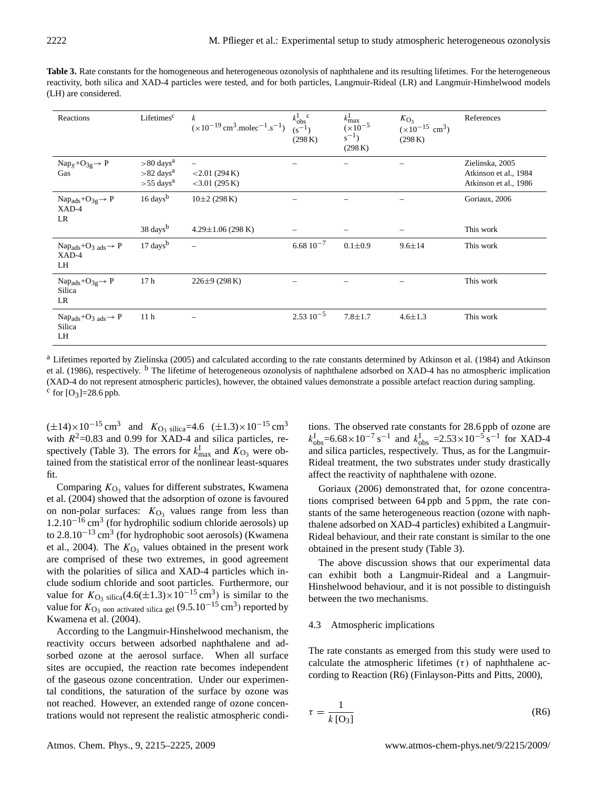Table 3. Rate constants for the homogeneous and heterogeneous ozonolysis of naphthalene and its resulting lifetimes. For the heterogeneous reactivity, both silica and XAD-4 particles were tested, and for both particles, Langmuir-Rideal (LR) and Langmuir-Hinshelwood models (LH) are considered.

| Reactions                                                              | Lifetimes <sup>c</sup>                                                          | $\boldsymbol{k}$<br>$(x10^{-19} \text{ cm}^3 \text{.} \text{molec}^{-1} \text{.} \text{s}^{-1})$ | $k_{\text{obs}}^{\text{I} \text{ c}}$<br>(s <sup>-1</sup> )<br>(298 K) | $k_{\max}^{\rm I}$<br>$(x10^{-5})$<br>$s^{-1}$ )<br>(298 K) | $K_{\text{O}_3}$<br>$(x10^{-15} \text{ cm}^3)$<br>(298 K) | References                                                        |
|------------------------------------------------------------------------|---------------------------------------------------------------------------------|--------------------------------------------------------------------------------------------------|------------------------------------------------------------------------|-------------------------------------------------------------|-----------------------------------------------------------|-------------------------------------------------------------------|
| $Nap_g + O_{3g} \rightarrow P$<br>Gas                                  | $> 80$ days <sup>a</sup><br>$>82$ days <sup>a</sup><br>$> 55$ days <sup>a</sup> | $\overbrace{\phantom{1232211}}$<br>$<$ 2.01 (294 K)<br>$<$ 3.01 (295 K)                          |                                                                        |                                                             |                                                           | Zielinska, 2005<br>Atkinson et al., 1984<br>Atkinson et al., 1986 |
| $Nap_{ads} + O_{3g} \rightarrow P$<br>XAD-4<br>LR                      | $16 \,$ days $^{\rm b}$                                                         | $10\pm2(298 \text{ K})$                                                                          |                                                                        |                                                             |                                                           | Goriaux, 2006                                                     |
|                                                                        | $38 \text{ days}^b$                                                             | $4.29 \pm 1.06$ (298 K)                                                                          |                                                                        |                                                             |                                                           | This work                                                         |
| $Nap_{ads} + O_{3ads} \rightarrow P$<br>XAD-4<br>LH                    | $17 \text{ days}^{\text{b}}$                                                    |                                                                                                  | $6.6810^{-7}$                                                          | $0.1 \pm 0.9$                                               | $9.6 \pm 14$                                              | This work                                                         |
| $Nap_{ads} + O_{3g} \rightarrow P$<br>Silica<br>LR                     | 17 <sub>h</sub>                                                                 | $226\pm9(298\,\mathrm{K})$                                                                       |                                                                        |                                                             |                                                           | This work                                                         |
| Nap <sub>ads</sub> +O <sub>3</sub> ads $\rightarrow$ P<br>Silica<br>LH | 11 <sub>h</sub>                                                                 |                                                                                                  | $2.53\ 10^{-5}$                                                        | $7.8 + 1.7$                                                 | $4.6 \pm 1.3$                                             | This work                                                         |

<sup>a</sup> Lifetimes reported by Zielinska (2005) and calculated according to the rate constants determined by Atkinson et al. (1984) and Atkinson et al. (1986), respectively. <sup>b</sup> The lifetime of heterogeneous ozonolysis of naphthalene adsorbed on XAD-4 has no atmospheric implication (XAD-4 do not represent atmospheric particles), however, the obtained values demonstrate a possible artefact reaction during sampling.  $c$  for  $[O_3] = 28.6$  ppb.

 $(\pm 14) \times 10^{-15}$  cm<sup>3</sup> and  $K_{\text{O}_3 \text{ silica}} = 4.6 \ (\pm 1.3) \times 10^{-15}$  cm<sup>3</sup> with  $R^2$ =0.83 and 0.99 for XAD-4 and silica particles, respectively (Table 3). The errors for  $k_{\text{max}}^{\text{I}}$  and  $K_{\text{O}_3}$  were obtained from the statistical error of the nonlinear least-squares fit.

Comparing  $K_{\text{O}_3}$  values for different substrates, Kwamena et al. (2004) showed that the adsorption of ozone is favoured on non-polar surfaces:  $K_{\text{O}_3}$  values range from less than  $1.2.10<sup>-16</sup>$  cm<sup>3</sup> (for hydrophilic sodium chloride aerosols) up to 2.8.10<sup>-13</sup> cm<sup>3</sup> (for hydrophobic soot aerosols) (Kwamena et al., 2004). The  $K_{\text{O}_3}$  values obtained in the present work are comprised of these two extremes, in good agreement with the polarities of silica and XAD-4 particles which include sodium chloride and soot particles. Furthermore, our value for  $K_{\text{O}_3}$  silica(4.6(±1.3)×10<sup>-15</sup> cm<sup>3</sup>) is similar to the value for  $K_{\text{O}_3}$  non activated silica gel  $(9.5.10^{-15} \text{ cm}^3)$  reported by Kwamena et al. (2004).

According to the Langmuir-Hinshelwood mechanism, the reactivity occurs between adsorbed naphthalene and adsorbed ozone at the aerosol surface. When all surface sites are occupied, the reaction rate becomes independent of the gaseous ozone concentration. Under our experimental conditions, the saturation of the surface by ozone was not reached. However, an extended range of ozone concentrations would not represent the realistic atmospheric condi-

tions. The observed rate constants for 28.6 ppb of ozone are  $k_{\text{obs}}^{\text{I}}$ =6.68×10<sup>-7</sup> s<sup>-1</sup> and  $k_{\text{obs}}^{\text{I}}$  =2.53×10<sup>-5</sup> s<sup>-1</sup> for XAD-4 and silica particles, respectively. Thus, as for the Langmuir-Rideal treatment, the two substrates under study drastically affect the reactivity of naphthalene with ozone.

Goriaux (2006) demonstrated that, for ozone concentrations comprised between 64 ppb and 5 ppm, the rate constants of the same heterogeneous reaction (ozone with naphthalene adsorbed on XAD-4 particles) exhibited a Langmuir-Rideal behaviour, and their rate constant is similar to the one obtained in the present study (Table 3).

The above discussion shows that our experimental data can exhibit both a Langmuir-Rideal and a Langmuir-Hinshelwood behaviour, and it is not possible to distinguish between the two mechanisms.

### 4.3 Atmospheric implications

The rate constants as emerged from this study were used to calculate the atmospheric lifetimes  $(\tau)$  of naphthalene according to Reaction (R6) (Finlayson-Pitts and Pitts, 2000),

$$
\tau = \frac{1}{k \,[\text{O}_3]} \tag{R6}
$$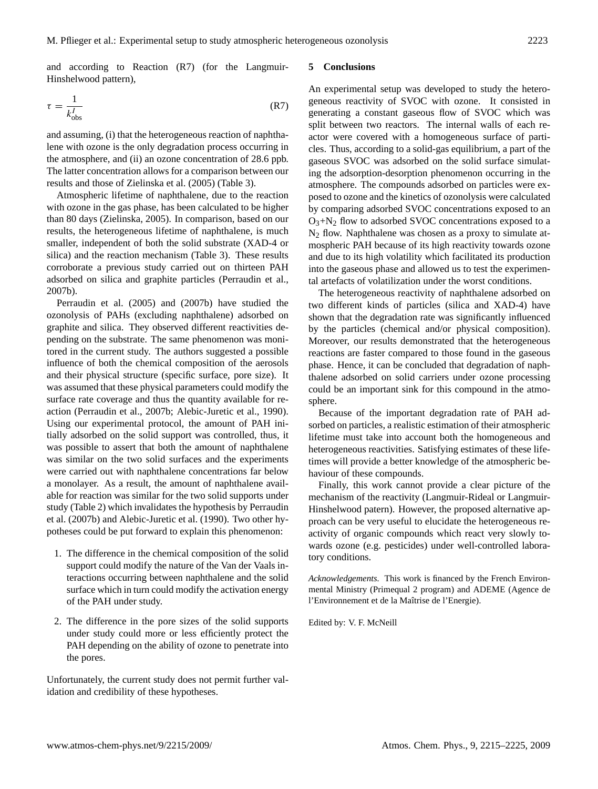and according to Reaction (R7) (for the Langmuir-Hinshelwood pattern),

$$
\tau = \frac{1}{k_{\text{obs}}^I} \tag{R7}
$$

and assuming, (i) that the heterogeneous reaction of naphthalene with ozone is the only degradation process occurring in the atmosphere, and (ii) an ozone concentration of 28.6 ppb. The latter concentration allows for a comparison between our results and those of Zielinska et al. (2005) (Table 3).

Atmospheric lifetime of naphthalene, due to the reaction with ozone in the gas phase, has been calculated to be higher than 80 days (Zielinska, 2005). In comparison, based on our results, the heterogeneous lifetime of naphthalene, is much smaller, independent of both the solid substrate (XAD-4 or silica) and the reaction mechanism (Table 3). These results corroborate a previous study carried out on thirteen PAH adsorbed on silica and graphite particles (Perraudin et al., 2007b).

Perraudin et al. (2005) and (2007b) have studied the ozonolysis of PAHs (excluding naphthalene) adsorbed on graphite and silica. They observed different reactivities depending on the substrate. The same phenomenon was monitored in the current study. The authors suggested a possible influence of both the chemical composition of the aerosols and their physical structure (specific surface, pore size). It was assumed that these physical parameters could modify the surface rate coverage and thus the quantity available for reaction (Perraudin et al., 2007b; Alebic-Juretic et al., 1990). Using our experimental protocol, the amount of PAH initially adsorbed on the solid support was controlled, thus, it was possible to assert that both the amount of naphthalene was similar on the two solid surfaces and the experiments were carried out with naphthalene concentrations far below a monolayer. As a result, the amount of naphthalene available for reaction was similar for the two solid supports under study (Table 2) which invalidates the hypothesis by Perraudin et al. (2007b) and Alebic-Juretic et al. (1990). Two other hypotheses could be put forward to explain this phenomenon:

- 1. The difference in the chemical composition of the solid support could modify the nature of the Van der Vaals interactions occurring between naphthalene and the solid surface which in turn could modify the activation energy of the PAH under study.
- 2. The difference in the pore sizes of the solid supports under study could more or less efficiently protect the PAH depending on the ability of ozone to penetrate into the pores.

Unfortunately, the current study does not permit further validation and credibility of these hypotheses.

### **5 Conclusions**

An experimental setup was developed to study the heterogeneous reactivity of SVOC with ozone. It consisted in generating a constant gaseous flow of SVOC which was split between two reactors. The internal walls of each reactor were covered with a homogeneous surface of particles. Thus, according to a solid-gas equilibrium, a part of the gaseous SVOC was adsorbed on the solid surface simulating the adsorption-desorption phenomenon occurring in the atmosphere. The compounds adsorbed on particles were exposed to ozone and the kinetics of ozonolysis were calculated by comparing adsorbed SVOC concentrations exposed to an  $O_3 + N_2$  flow to adsorbed SVOC concentrations exposed to a  $N_2$  flow. Naphthalene was chosen as a proxy to simulate atmospheric PAH because of its high reactivity towards ozone and due to its high volatility which facilitated its production into the gaseous phase and allowed us to test the experimental artefacts of volatilization under the worst conditions.

The heterogeneous reactivity of naphthalene adsorbed on two different kinds of particles (silica and XAD-4) have shown that the degradation rate was significantly influenced by the particles (chemical and/or physical composition). Moreover, our results demonstrated that the heterogeneous reactions are faster compared to those found in the gaseous phase. Hence, it can be concluded that degradation of naphthalene adsorbed on solid carriers under ozone processing could be an important sink for this compound in the atmosphere.

Because of the important degradation rate of PAH adsorbed on particles, a realistic estimation of their atmospheric lifetime must take into account both the homogeneous and heterogeneous reactivities. Satisfying estimates of these lifetimes will provide a better knowledge of the atmospheric behaviour of these compounds.

Finally, this work cannot provide a clear picture of the mechanism of the reactivity (Langmuir-Rideal or Langmuir-Hinshelwood patern). However, the proposed alternative approach can be very useful to elucidate the heterogeneous reactivity of organic compounds which react very slowly towards ozone (e.g. pesticides) under well-controlled laboratory conditions.

*Acknowledgements.* This work is financed by the French Environmental Ministry (Primequal 2 program) and ADEME (Agence de l'Environnement et de la Maîtrise de l'Energie).

Edited by: V. F. McNeill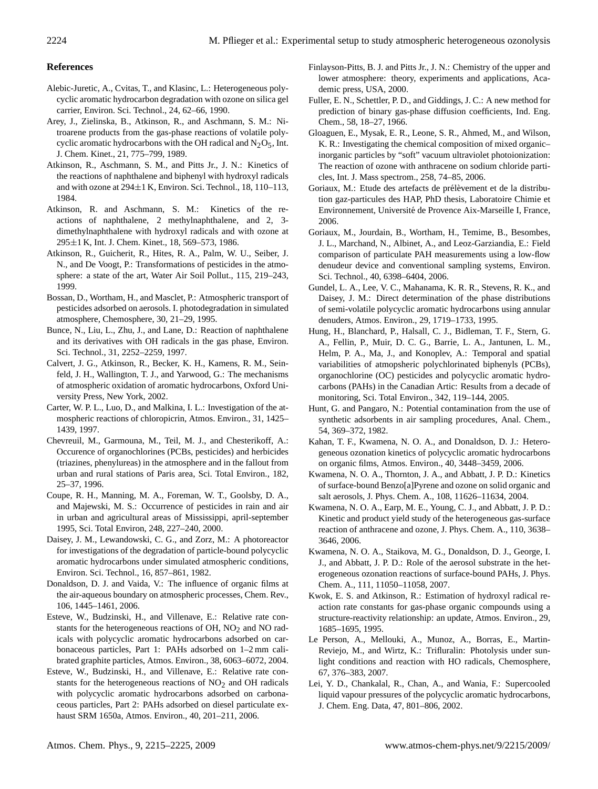## **References**

- Alebic-Juretic, A., Cvitas, T., and Klasinc, L.: Heterogeneous polycyclic aromatic hydrocarbon degradation with ozone on silica gel carrier, Environ. Sci. Technol., 24, 62–66, 1990.
- Arey, J., Zielinska, B., Atkinson, R., and Aschmann, S. M.: Nitroarene products from the gas-phase reactions of volatile polycyclic aromatic hydrocarbons with the OH radical and  $N_2O_5$ , Int. J. Chem. Kinet., 21, 775–799, 1989.
- Atkinson, R., Aschmann, S. M., and Pitts Jr., J. N.: Kinetics of the reactions of naphthalene and biphenyl with hydroxyl radicals and with ozone at  $294\pm1$  K, Environ. Sci. Technol., 18, 110–113, 1984.
- Atkinson, R. and Aschmann, S. M.: Kinetics of the reactions of naphthalene, 2 methylnaphthalene, and 2, 3 dimethylnaphthalene with hydroxyl radicals and with ozone at 295±1 K, Int. J. Chem. Kinet., 18, 569–573, 1986.
- Atkinson, R., Guicherit, R., Hites, R. A., Palm, W. U., Seiber, J. N., and De Voogt, P.: Transformations of pesticides in the atmosphere: a state of the art, Water Air Soil Pollut., 115, 219–243, 1999.
- Bossan, D., Wortham, H., and Masclet, P.: Atmospheric transport of pesticides adsorbed on aerosols. I. photodegradation in simulated atmosphere, Chemosphere, 30, 21–29, 1995.
- Bunce, N., Liu, L., Zhu, J., and Lane, D.: Reaction of naphthalene and its derivatives with OH radicals in the gas phase, Environ. Sci. Technol., 31, 2252–2259, 1997.
- Calvert, J. G., Atkinson, R., Becker, K. H., Kamens, R. M., Seinfeld, J. H., Wallington, T. J., and Yarwood, G.: The mechanisms of atmospheric oxidation of aromatic hydrocarbons, Oxford University Press, New York, 2002.
- Carter, W. P. L., Luo, D., and Malkina, I. L.: Investigation of the atmospheric reactions of chloropicrin, Atmos. Environ., 31, 1425– 1439, 1997.
- Chevreuil, M., Garmouna, M., Teil, M. J., and Chesterikoff, A.: Occurence of organochlorines (PCBs, pesticides) and herbicides (triazines, phenylureas) in the atmosphere and in the fallout from urban and rural stations of Paris area, Sci. Total Environ., 182, 25–37, 1996.
- Coupe, R. H., Manning, M. A., Foreman, W. T., Goolsby, D. A., and Majewski, M. S.: Occurrence of pesticides in rain and air in urban and agricultural areas of Mississippi, april-september 1995, Sci. Total Environ, 248, 227–240, 2000.
- Daisey, J. M., Lewandowski, C. G., and Zorz, M.: A photoreactor for investigations of the degradation of particle-bound polycyclic aromatic hydrocarbons under simulated atmospheric conditions, Environ. Sci. Technol., 16, 857–861, 1982.
- Donaldson, D. J. and Vaida, V.: The influence of organic films at the air-aqueous boundary on atmospheric processes, Chem. Rev., 106, 1445–1461, 2006.
- Esteve, W., Budzinski, H., and Villenave, E.: Relative rate constants for the heterogeneous reactions of OH,  $NO<sub>2</sub>$  and  $NO$  radicals with polycyclic aromatic hydrocarbons adsorbed on carbonaceous particles, Part 1: PAHs adsorbed on 1–2 mm calibrated graphite particles, Atmos. Environ., 38, 6063–6072, 2004.
- Esteve, W., Budzinski, H., and Villenave, E.: Relative rate constants for the heterogeneous reactions of  $NO<sub>2</sub>$  and OH radicals with polycyclic aromatic hydrocarbons adsorbed on carbonaceous particles, Part 2: PAHs adsorbed on diesel particulate exhaust SRM 1650a, Atmos. Environ., 40, 201–211, 2006.
- Finlayson-Pitts, B. J. and Pitts Jr., J. N.: Chemistry of the upper and lower atmosphere: theory, experiments and applications, Academic press, USA, 2000.
- Fuller, E. N., Schettler, P. D., and Giddings, J. C.: A new method for prediction of binary gas-phase diffusion coefficients, Ind. Eng. Chem., 58, 18–27, 1966.
- Gloaguen, E., Mysak, E. R., Leone, S. R., Ahmed, M., and Wilson, K. R.: Investigating the chemical composition of mixed organic– inorganic particles by "soft" vacuum ultraviolet photoionization: The reaction of ozone with anthracene on sodium chloride particles, Int. J. Mass spectrom., 258, 74–85, 2006.
- Goriaux, M.: Etude des artefacts de prélèvement et de la distribution gaz-particules des HAP, PhD thesis, Laboratoire Chimie et Environnement, Universite de Provence Aix-Marseille I, France, ´ 2006.
- Goriaux, M., Jourdain, B., Wortham, H., Temime, B., Besombes, J. L., Marchand, N., Albinet, A., and Leoz-Garziandia, E.: Field comparison of particulate PAH measurements using a low-flow denudeur device and conventional sampling systems, Environ. Sci. Technol., 40, 6398–6404, 2006.
- Gundel, L. A., Lee, V. C., Mahanama, K. R. R., Stevens, R. K., and Daisey, J. M.: Direct determination of the phase distributions of semi-volatile polycyclic aromatic hydrocarbons using annular denuders, Atmos. Environ., 29, 1719–1733, 1995.
- Hung, H., Blanchard, P., Halsall, C. J., Bidleman, T. F., Stern, G. A., Fellin, P., Muir, D. C. G., Barrie, L. A., Jantunen, L. M., Helm, P. A., Ma, J., and Konoplev, A.: Temporal and spatial variabilities of atmopsheric polychlorinated biphenyls (PCBs), organochlorine (OC) pesticides and polycyclic aromatic hydrocarbons (PAHs) in the Canadian Artic: Results from a decade of monitoring, Sci. Total Environ., 342, 119–144, 2005.
- Hunt, G. and Pangaro, N.: Potential contamination from the use of synthetic adsorbents in air sampling procedures, Anal. Chem., 54, 369–372, 1982.
- Kahan, T. F., Kwamena, N. O. A., and Donaldson, D. J.: Heterogeneous ozonation kinetics of polycyclic aromatic hydrocarbons on organic films, Atmos. Environ., 40, 3448–3459, 2006.
- Kwamena, N. O. A., Thornton, J. A., and Abbatt, J. P. D.: Kinetics of surface-bound Benzo[a]Pyrene and ozone on solid organic and salt aerosols, J. Phys. Chem. A., 108, 11626–11634, 2004.
- Kwamena, N. O. A., Earp, M. E., Young, C. J., and Abbatt, J. P. D.: Kinetic and product yield study of the heterogeneous gas-surface reaction of anthracene and ozone, J. Phys. Chem. A., 110, 3638– 3646, 2006.
- Kwamena, N. O. A., Staikova, M. G., Donaldson, D. J., George, I. J., and Abbatt, J. P. D.: Role of the aerosol substrate in the heterogeneous ozonation reactions of surface-bound PAHs, J. Phys. Chem. A., 111, 11050–11058, 2007.
- Kwok, E. S. and Atkinson, R.: Estimation of hydroxyl radical reaction rate constants for gas-phase organic compounds using a structure-reactivity relationship: an update, Atmos. Environ., 29, 1685–1695, 1995.
- Le Person, A., Mellouki, A., Munoz, A., Borras, E., Martin-Reviejo, M., and Wirtz, K.: Trifluralin: Photolysis under sunlight conditions and reaction with HO radicals, Chemosphere, 67, 376–383, 2007.
- Lei, Y. D., Chankalal, R., Chan, A., and Wania, F.: Supercooled liquid vapour pressures of the polycyclic aromatic hydrocarbons, J. Chem. Eng. Data, 47, 801–806, 2002.